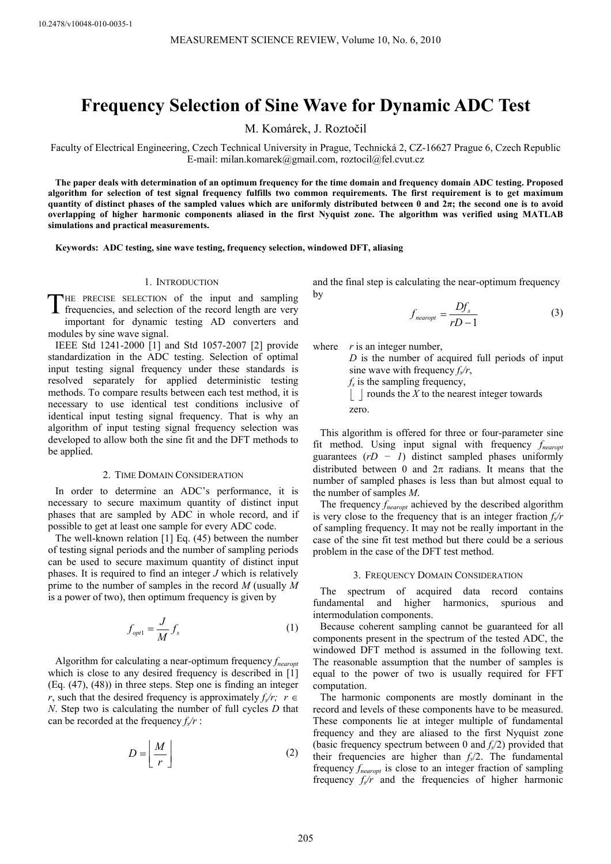# **Frequency Selection of Sine Wave for Dynamic ADC Test**

M. Komárek, J. Roztočil

Faculty of Electrical Engineering, Czech Technical University in Prague, Technická 2, CZ-16627 Prague 6, Czech Republic E-mail: milan.komarek@gmail.com, roztocil@fel.cvut.cz

**The paper deals with determination of an optimum frequency for the time domain and frequency domain ADC testing. Proposed algorithm for selection of test signal frequency fulfills two common requirements. The first requirement is to get maximum quantity of distinct phases of the sampled values which are uniformly distributed between 0 and 2π; the second one is to avoid overlapping of higher harmonic components aliased in the first Nyquist zone. The algorithm was verified using MATLAB simulations and practical measurements.** 

**Keywords: ADC testing, sine wave testing, frequency selection, windowed DFT, aliasing** 

#### 1. INTRODUCTION

HE PRECISE SELECTION of the input and sampling frequencies, and selection of the record length are very important for dynamic testing AD converters and modules by sine wave signal. T

IEEE Std 1241-2000 [1] and Std 1057-2007 [2] provide standardization in the ADC testing. Selection of optimal input testing signal frequency under these standards is resolved separately for applied deterministic testing methods. To compare results between each test method, it is necessary to use identical test conditions inclusive of identical input testing signal frequency. That is why an algorithm of input testing signal frequency selection was developed to allow both the sine fit and the DFT methods to be applied.

#### 2. TIME DOMAIN CONSIDERATION

In order to determine an ADC's performance, it is necessary to secure maximum quantity of distinct input phases that are sampled by ADC in whole record, and if possible to get at least one sample for every ADC code.

The well-known relation [1] Eq. (45) between the number of testing signal periods and the number of sampling periods can be used to secure maximum quantity of distinct input phases. It is required to find an integer *J* which is relatively prime to the number of samples in the record *M* (usually *M* is a power of two), then optimum frequency is given by

$$
f_{opt1} = \frac{J}{M} f_s \tag{1}
$$

Algorithm for calculating a near-optimum frequency *fnearopt* which is close to any desired frequency is described in [1] (Eq. (47), (48)) in three steps. Step one is finding an integer *r*, such that the desired frequency is approximately  $f_s/r$ ;  $r \in$ *N*. Step two is calculating the number of full cycles *D* that can be recorded at the frequency  $f_s/r$ :

$$
D = \left\lfloor \frac{M}{r} \right\rfloor \tag{2}
$$

and the final step is calculating the near-optimum frequency by

$$
f_{\text{nearopt}} = \frac{Df_s}{rD - 1} \tag{3}
$$

where *r* is an integer number,

*D* is the number of acquired full periods of input sine wave with frequency  $f_s/r$ ,

*f<sub>s</sub>* is the sampling frequency,

 $\lfloor \cdot \rfloor$  rounds the *X* to the nearest integer towards zero.

This algorithm is offered for three or four-parameter sine fit method. Using input signal with frequency *fnearopt* guarantees (*rD − 1*) distinct sampled phases uniformly distributed between 0 and  $2\pi$  radians. It means that the number of sampled phases is less than but almost equal to the number of samples *M*.

The frequency *fnearopt* achieved by the described algorithm is very close to the frequency that is an integer fraction  $f<sub>s</sub>/r$ of sampling frequency. It may not be really important in the case of the sine fit test method but there could be a serious problem in the case of the DFT test method.

#### 3. FREQUENCY DOMAIN CONSIDERATION

The spectrum of acquired data record contains fundamental and higher harmonics, spurious and intermodulation components.

Because coherent sampling cannot be guaranteed for all components present in the spectrum of the tested ADC, the windowed DFT method is assumed in the following text. The reasonable assumption that the number of samples is equal to the power of two is usually required for FFT computation.

The harmonic components are mostly dominant in the record and levels of these components have to be measured. These components lie at integer multiple of fundamental frequency and they are aliased to the first Nyquist zone (basic frequency spectrum between 0 and *fs*/2) provided that their frequencies are higher than  $f_s/2$ . The fundamental frequency *fnearopt* is close to an integer fraction of sampling frequency  $f<sub>s</sub>/r$  and the frequencies of higher harmonic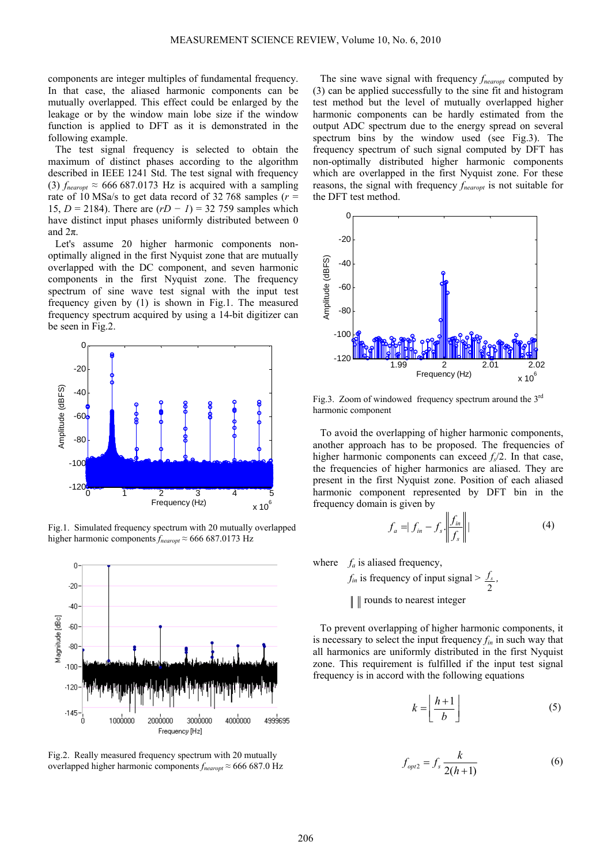components are integer multiples of fundamental frequency. In that case, the aliased harmonic components can be mutually overlapped. This effect could be enlarged by the leakage or by the window main lobe size if the window function is applied to DFT as it is demonstrated in the following example.

The test signal frequency is selected to obtain the maximum of distinct phases according to the algorithm described in IEEE 1241 Std. The test signal with frequency (3)  $f_{\text{nearopt}} \approx 666\,687.0173$  Hz is acquired with a sampling rate of 10 MSa/s to get data record of 32 768 samples ( $r =$ 15, *D* = 2184). There are (*rD − 1*) = 32 759 samples which have distinct input phases uniformly distributed between 0 and  $2\pi$ .

Let's assume 20 higher harmonic components nonoptimally aligned in the first Nyquist zone that are mutually overlapped with the DC component, and seven harmonic components in the first Nyquist zone. The frequency spectrum of sine wave test signal with the input test frequency given by (1) is shown in Fig.1. The measured frequency spectrum acquired by using a 14-bit digitizer can be seen in Fig.2.



Fig.1. Simulated frequency spectrum with 20 mutually overlapped higher harmonic components *fnearopt* ≈ 666 687.0173 Hz



Fig.2. Really measured frequency spectrum with 20 mutually overlapped higher harmonic components *fnearopt* ≈ 666 687.0 Hz

The sine wave signal with frequency  $f_{\text{nearopt}}$  computed by (3) can be applied successfully to the sine fit and histogram test method but the level of mutually overlapped higher harmonic components can be hardly estimated from the output ADC spectrum due to the energy spread on several spectrum bins by the window used (see Fig.3). The frequency spectrum of such signal computed by DFT has non-optimally distributed higher harmonic components which are overlapped in the first Nyquist zone. For these reasons, the signal with frequency *fnearopt* is not suitable for the DFT test method.



Fig.3. Zoom of windowed frequency spectrum around the 3rd harmonic component

To avoid the overlapping of higher harmonic components, another approach has to be proposed. The frequencies of higher harmonic components can exceed  $f_s/2$ . In that case, the frequencies of higher harmonics are aliased. They are present in the first Nyquist zone. Position of each aliased harmonic component represented by DFT bin in the frequency domain is given by

$$
f_a = |f_{in} - f_s| \left| \frac{f_{in}}{f_s} \right| | \qquad (4)
$$

where  $f_a$  is aliased frequency,

 $f_{in}$  is frequency of input signal  $>$ 2 *<sup>s</sup> f ,* 

 $\parallel$   $\parallel$  rounds to nearest integer

To prevent overlapping of higher harmonic components, it is necessary to select the input frequency *fin* in such way that all harmonics are uniformly distributed in the first Nyquist zone. This requirement is fulfilled if the input test signal frequency is in accord with the following equations

$$
k = \left\lfloor \frac{h+1}{b} \right\rfloor \tag{5}
$$

$$
f_{opt2} = f_s \frac{k}{2(h+1)}
$$
 (6)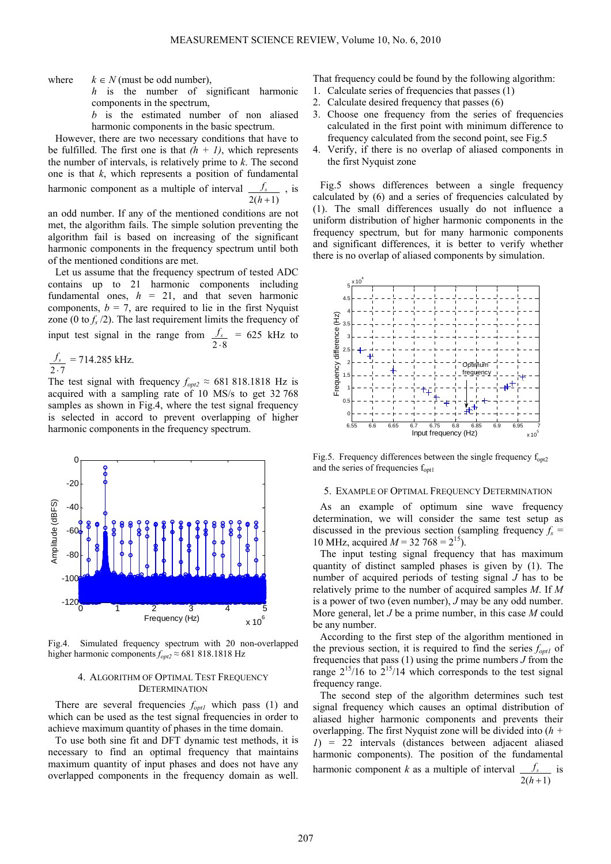where  $k \in N$  (must be odd number),

h is the number of significant harmonic components in the spectrum,

 *is the estimated number of non aliased* harmonic components in the basic spectrum.

However, there are two necessary conditions that have to be fulfilled. The first one is that  $(h + 1)$ , which represents the number of intervals, is relatively prime to *k*. The second one is that *k*, which represents a position of fundamental harmonic component as a multiple of interval  $2(h+1)$  $f_s$ , is

met, the algorithm fails. The simple solution preventing the algorithm fail is based on increasing of the significant harmonic components in the frequency spectrum until both of the mentioned conditions are met. an odd number. If any of the mentioned conditions are not

Let us assume that the frequency sp ectrum of tested ADC contains up to 21 harmonic components including fundamental ones,  $h = 21$ , and that seven harmonic components,  $b = 7$ , are required to lie in the first Nyquist zone (0 to  $f_s/2$ ). The last requirement limits the frequency of input test signal in the range from  $2 \cdot 8$  $f_s = 625$  kHz to

$$
\frac{f_s}{2 \cdot 7} = 714.285 \text{ kHz.}
$$

The test signal with frequency  $f_{opt2} \approx 6818181818$  Hz is acquired with a sampling rate of 10 MS/s to get 32 768 samples as shown in Fig.4, where the test signal frequency is selected in accord to prevent overlapping of higher harmonic components in the frequency spectrum.



Fig.4. Simulated frequency spectrum with 20 non-overlapped higher harmonic components *fopt2* ≈ 681 818.1818 Hz

# 4. ALGORITHM OF OPTIMAL TEST FREQUENCY **DETERMINATION**

There are several frequencies  $f_{opt1}$  which pass (1) and which can be used as the test signal frequencies in order to achieve maximum quantity of phases in the time domain.

To use both sine fit and DFT dynamic test methods, it is n ecessary to find an optimal frequency that maintains maximum quantity of input phases and does not have any overlapped components in the frequency domain as well.

That frequency could be found by the following algorithm:

- 1. Calculate series of frequencies that passes (1)
- 2. Calculate desired frequency that passes (6)
- 3. Choose one frequency from the series of frequencies calculated in the first point with minimum difference to frequency calculated from the second point, see Fig.5
- 4. Verify, if there is no overlap of aliased components in the first Nyquist zone

Fig.5 shows differences between a single frequency c alculated by (6) and a series of frequencies calculated by (1). The small differences usually do not influence a uniform distribution of higher harmonic components in the frequency spectrum, but for many harmonic components and significant differences, it is better to verify whether there is no overlap of aliased components by simulation.



Fig.5. Frequency differences between the single frequency  $f_{\text{on}t2}$ and the series of frequencies  $f_{\text{opt1}}$ 

## 5. EXAMPLE OF OPTIMAL FREQUENCY DETERMINATION

A s an example of optimum sine wave frequency d etermination, we will consider the same test setup as discussed in the previous section (sampling frequency  $f_s =$ 10 MHz, acquired  $M = 32,768 = 2^{15}$ .

The input testing signal frequency that has maximum q uantity of distinct sampled phases is given by (1). The number of acquired periods of testing signal *J* has to be relatively prime to the number of acquired samples *M*. If *M* is a power of two (even number), *J* may be any odd number. More general, let *J* be a prime number, in this case *M* could be any number.

According to the first step of the algorithm mentioned in the previous section, it is required to find the series  $f_{opt1}$  of frequencies that pass (1) using the prime numbers *J* from the range  $2^{15}/16$  to  $2^{15}/14$  which corresponds to the test signal frequency range.

The second step of the algorithm determines such test si gnal frequency which causes an optimal distribution of aliased higher harmonic components and prevents their overlapping. The first Nyquist zone will be divided into (*h + 1*) = 22 intervals (distances between adjacent aliased harmonic components). The position of the fundamental harmonic component *k* as a multiple of interval  $2(h+1)$  $f_s$  is